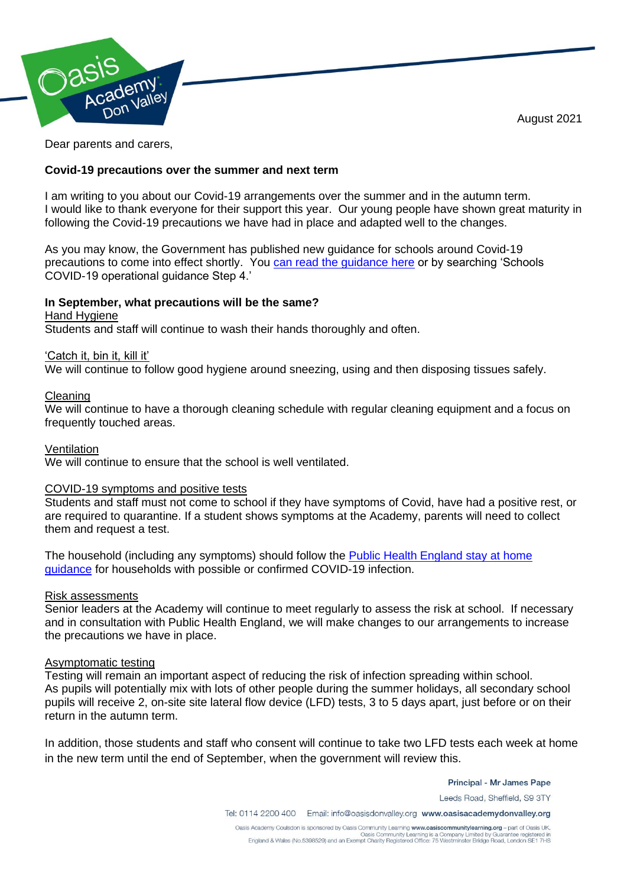August 2021



Dear parents and carers,

# **Covid-19 precautions over the summer and next term**

I am writing to you about our Covid-19 arrangements over the summer and in the autumn term. I would like to thank everyone for their support this year. Our young people have shown great maturity in following the Covid-19 precautions we have had in place and adapted well to the changes.

As you may know, the Government has published new guidance for schools around Covid-19 precautions to come into effect shortly. You [can read the guidance](https://assets.publishing.service.gov.uk/government/uploads/system/uploads/attachment_data/file/999689/Schools_guidance_Step_4_update_FINAL.pdf) here or by searching 'Schools COVID-19 operational guidance Step 4.'

# **In September, what precautions will be the same?**

Hand Hygiene

Students and staff will continue to wash their hands thoroughly and often.

# 'Catch it, bin it, kill it'

We will continue to follow good hygiene around sneezing, using and then disposing tissues safely.

### Cleaning

We will continue to have a thorough cleaning schedule with regular cleaning equipment and a focus on frequently touched areas.

### **Ventilation**

We will continue to ensure that the school is well ventilated.

# COVID-19 symptoms and positive tests

Students and staff must not come to school if they have symptoms of Covid, have had a positive rest, or are required to quarantine. If a student shows symptoms at the Academy, parents will need to collect them and request a test.

The household (including any symptoms) should follow the [Public Health England stay at home](https://www.gov.uk/government/publications/covid-19-stay-at-home-guidance/stay-at-home-guidance-for-households-with-possible-coronavirus-covid-19-infection)  [guidance](https://www.gov.uk/government/publications/covid-19-stay-at-home-guidance/stay-at-home-guidance-for-households-with-possible-coronavirus-covid-19-infection) for households with possible or confirmed COVID-19 infection.

#### Risk assessments

Senior leaders at the Academy will continue to meet regularly to assess the risk at school. If necessary and in consultation with Public Health England, we will make changes to our arrangements to increase the precautions we have in place.

#### Asymptomatic testing

Testing will remain an important aspect of reducing the risk of infection spreading within school. As pupils will potentially mix with lots of other people during the summer holidays, all secondary school pupils will receive 2, on-site site lateral flow device (LFD) tests, 3 to 5 days apart, just before or on their return in the autumn term.

In addition, those students and staff who consent will continue to take two LFD tests each week at home in the new term until the end of September, when the government will review this.

Principal - Mr James Pape

Leeds Road, Sheffield, S9 3TY

Tel: 0114 2200 400 Email: info@oasisdonvalley.org www.oasisacademydonvalley.org

Oasis Academy Coulsdon is sponsored by Oasis Community Learning www.oasiscommunitylearning.org - part of Oasis UK. Oasis Community Learning is a Company Limited by Guarantee registered in<br>England & Wales (No.5398529) and an Exempt Charity Registered Office: 75 Westminster Bridge Road, London SE1 7HS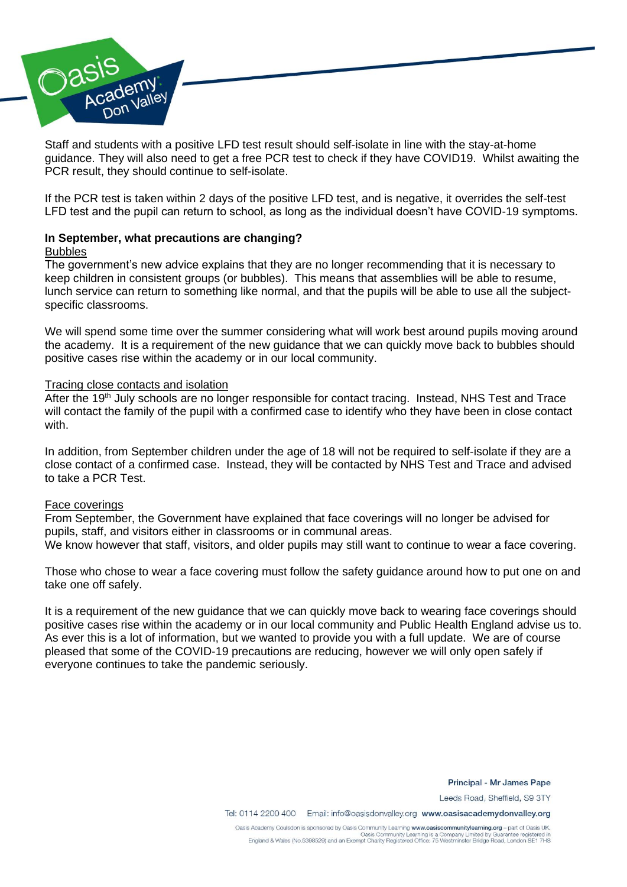

Staff and students with a positive LFD test result should self-isolate in line with the stay-at-home guidance. They will also need to get a free PCR test to check if they have COVID19. Whilst awaiting the PCR result, they should continue to self-isolate.

If the PCR test is taken within 2 days of the positive LFD test, and is negative, it overrides the self-test LFD test and the pupil can return to school, as long as the individual doesn't have COVID-19 symptoms.

### **In September, what precautions are changing?**  Bubbles

The government's new advice explains that they are no longer recommending that it is necessary to keep children in consistent groups (or bubbles). This means that assemblies will be able to resume, lunch service can return to something like normal, and that the pupils will be able to use all the subjectspecific classrooms.

We will spend some time over the summer considering what will work best around pupils moving around the academy. It is a requirement of the new guidance that we can quickly move back to bubbles should positive cases rise within the academy or in our local community.

### Tracing close contacts and isolation

After the 19<sup>th</sup> July schools are no longer responsible for contact tracing. Instead, NHS Test and Trace will contact the family of the pupil with a confirmed case to identify who they have been in close contact with.

In addition, from September children under the age of 18 will not be required to self-isolate if they are a close contact of a confirmed case. Instead, they will be contacted by NHS Test and Trace and advised to take a PCR Test.

#### Face coverings

From September, the Government have explained that face coverings will no longer be advised for pupils, staff, and visitors either in classrooms or in communal areas.

We know however that staff, visitors, and older pupils may still want to continue to wear a face covering.

Those who chose to wear a face covering must follow the safety guidance around how to put one on and take one off safely.

It is a requirement of the new guidance that we can quickly move back to wearing face coverings should positive cases rise within the academy or in our local community and Public Health England advise us to. As ever this is a lot of information, but we wanted to provide you with a full update. We are of course pleased that some of the COVID-19 precautions are reducing, however we will only open safely if everyone continues to take the pandemic seriously.

Principal - Mr James Pape

Leeds Road, Sheffield, S9 3TY

Tel: 0114 2200 400 Email: info@oasisdonvalley.org www.oasisacademydonvalley.org

Oasis Academy Coulsdon is sponsored by Oasis Community Learning www.oasiscommunitylearning.org - part of Oasis UK. Oasis Community Learning is a Company Limited by Guarantee registered in<br>England & Wales (No.5398529) and an Exempt Charity Registered Office: 75 Westminster Bridge Road, London SE1 7HS